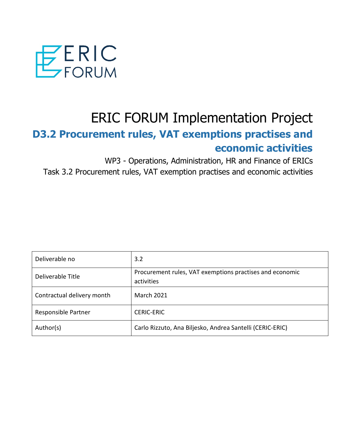

# ERIC FORUM Implementation Project

## **D3.2 Procurement rules, VAT exemptions practises and economic activities**

WP3 - Operations, Administration, HR and Finance of ERICs Task 3.2 Procurement rules, VAT exemption practises and economic activities

| Deliverable no             | 3.2                                                                    |
|----------------------------|------------------------------------------------------------------------|
| Deliverable Title          | Procurement rules, VAT exemptions practises and economic<br>activities |
| Contractual delivery month | <b>March 2021</b>                                                      |
| Responsible Partner        | <b>CERIC-ERIC</b>                                                      |
| Author(s)                  | Carlo Rizzuto, Ana Biljesko, Andrea Santelli (CERIC-ERIC)              |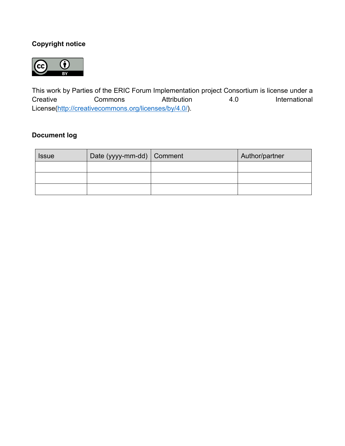## **Copyright notice**



This work by Parties of the ERIC Forum Implementation project Consortium is license under a Creative Commons Attribution 4.0 International License[\(http://creativecommons.org/licenses/by/4.0/\)](http://creativecommons.org/licenses/by/4.0/).

## **Document log**

| <b>Issue</b> | Date (yyyy-mm-dd) Comment | Author/partner |
|--------------|---------------------------|----------------|
|              |                           |                |
|              |                           |                |
|              |                           |                |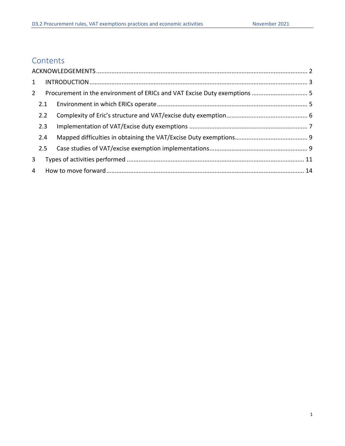## **Contents**

| $2^{\circ}$ |     |  |
|-------------|-----|--|
|             | 2.1 |  |
|             | 2.2 |  |
|             | 2.3 |  |
|             | 2.4 |  |
|             | 2.5 |  |
| 3           |     |  |
|             |     |  |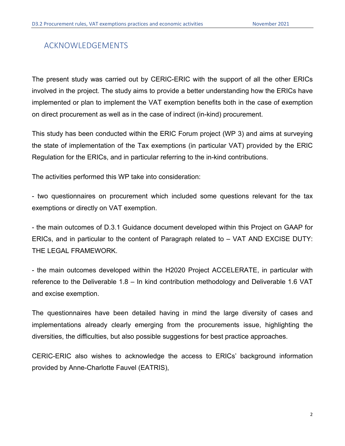## ACKNOWLEDGEMENTS

The present study was carried out by CERIC-ERIC with the support of all the other ERICs involved in the project. The study aims to provide a better understanding how the ERICs have implemented or plan to implement the VAT exemption benefits both in the case of exemption on direct procurement as well as in the case of indirect (in-kind) procurement.

This study has been conducted within the ERIC Forum project (WP 3) and aims at surveying the state of implementation of the Tax exemptions (in particular VAT) provided by the ERIC Regulation for the ERICs, and in particular referring to the in-kind contributions.

The activities performed this WP take into consideration:

- two questionnaires on procurement which included some questions relevant for the tax exemptions or directly on VAT exemption.

- the main outcomes of D.3.1 Guidance document developed within this Project on GAAP for ERICs, and in particular to the content of Paragraph related to – VAT AND EXCISE DUTY: THE LEGAL FRAMEWORK.

- the main outcomes developed within the H2020 Project ACCELERATE, in particular with reference to the Deliverable 1.8 – In kind contribution methodology and Deliverable 1.6 VAT and excise exemption.

The questionnaires have been detailed having in mind the large diversity of cases and implementations already clearly emerging from the procurements issue, highlighting the diversities, the difficulties, but also possible suggestions for best practice approaches.

CERIC-ERIC also wishes to acknowledge the access to ERICs' background information provided by Anne-Charlotte Fauvel (EATRIS),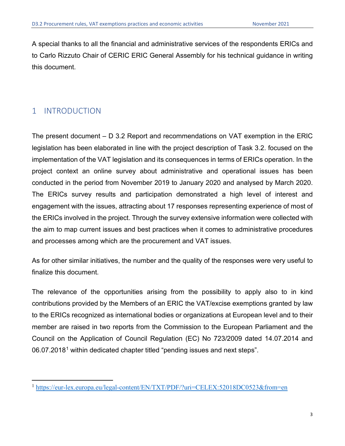A special thanks to all the financial and administrative services of the respondents ERICs and to Carlo Rizzuto Chair of CERIC ERIC General Assembly for his technical guidance in writing this document.

## 1 INTRODUCTION

The present document – D 3.2 Report and recommendations on VAT exemption in the ERIC legislation has been elaborated in line with the project description of Task 3.2. focused on the implementation of the VAT legislation and its consequences in terms of ERICs operation. In the project context an online survey about administrative and operational issues has been conducted in the period from November 2019 to January 2020 and analysed by March 2020. The ERICs survey results and participation demonstrated a high level of interest and engagement with the issues, attracting about 17 responses representing experience of most of the ERICs involved in the project. Through the survey extensive information were collected with the aim to map current issues and best practices when it comes to administrative procedures and processes among which are the procurement and VAT issues.

As for other similar initiatives, the number and the quality of the responses were very useful to finalize this document.

The relevance of the opportunities arising from the possibility to apply also to in kind contributions provided by the Members of an ERIC the VAT/excise exemptions granted by law to the ERICs recognized as international bodies or organizations at European level and to their member are raised in two reports from the Commission to the European Parliament and the Council on the Application of Council Regulation (EC) No 723/2009 dated 14.07.2014 and 06.07.20[1](#page-4-0)8<sup>1</sup> within dedicated chapter titled "pending issues and next steps".

<span id="page-4-0"></span><sup>&</sup>lt;sup>1</sup> <https://eur-lex.europa.eu/legal-content/EN/TXT/PDF/?uri=CELEX:52018DC0523&from=en>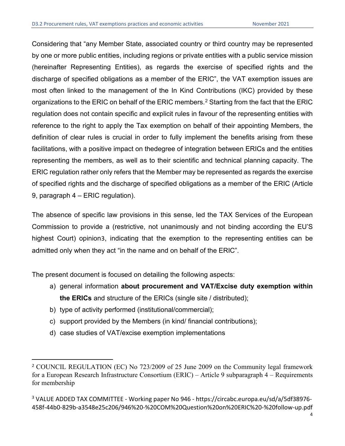Considering that "any Member State, associated country or third country may be represented by one or more public entities, including regions or private entities with a public service mission (hereinafter Representing Entities), as regards the exercise of specified rights and the discharge of specified obligations as a member of the ERIC", the VAT exemption issues are most often linked to the management of the In Kind Contributions (IKC) provided by these organizations to the ERIC on behalf of the ERIC members. $^2$  $^2$  Starting from the fact that the ERIC regulation does not contain specific and explicit rules in favour of the representing entities with reference to the right to apply the Tax exemption on behalf of their appointing Members, the definition of clear rules is crucial in order to fully implement the benefits arising from these facilitations, with a positive impact on thedegree of integration between ERICs and the entities representing the members, as well as to their scientific and technical planning capacity. The ERIC regulation rather only refers that the Member may be represented as regards the exercise of specified rights and the discharge of specified obligations as a member of the ERIC (Article 9, paragraph 4 – ERIC regulation).

The absence of specific law provisions in this sense, led the TAX Services of the European Commission to provide a (restrictive, not unanimously and not binding according the EU'S highest Court) opinion[3](#page-5-1), indicating that the exemption to the representing entities can be admitted only when they act "in the name and on behalf of the ERIC".

The present document is focused on detailing the following aspects:

- a) general information **about procurement and VAT/Excise duty exemption within the ERICs** and structure of the ERICs (single site / distributed);
- b) type of activity performed (institutional/commercial);
- c) support provided by the Members (in kind/ financial contributions);
- d) case studies of VAT/excise exemption implementations

<span id="page-5-0"></span><sup>2</sup> COUNCIL REGULATION (EC) No 723/2009 of 25 June 2009 on the Community legal framework for a European Research Infrastructure Consortium (ERIC) – Article 9 subparagraph 4 – Requirements for membership

<span id="page-5-1"></span><sup>3</sup> VALUE ADDED TAX COMMITTEE - Working paper No 946 - https://circabc.europa.eu/sd/a/5df38976- 458f-44b0-829b-a3548e25c206/946%20-%20COM%20Question%20on%20ERIC%20-%20follow-up.pdf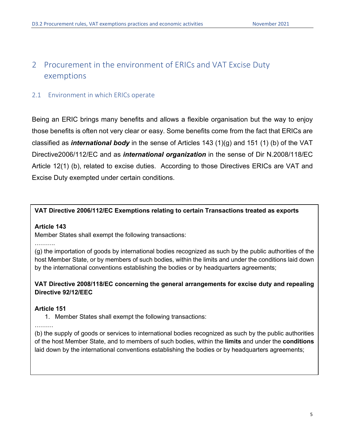## 2 Procurement in the environment of ERICs and VAT Excise Duty exemptions

#### 2.1 Environment in which ERICs operate

Being an ERIC brings many benefits and allows a flexible organisation but the way to enjoy those benefits is often not very clear or easy. Some benefits come from the fact that ERICs are classified as *international body* in the sense of Articles 143 (1)(g) and 151 (1) (b) of the VAT Directive2006/112/EC and as *international organization* in the sense of Dir N.2008/118/EC Article 12(1) (b), related to excise duties. According to those Directives ERICs are VAT and Excise Duty exempted under certain conditions.

#### **VAT Directive 2006/112/EC Exemptions relating to certain Transactions treated as exports**

#### **Article 143**

Member States shall exempt the following transactions:

……….

(g) the importation of goods by international bodies recognized as such by the public authorities of the host Member State, or by members of such bodies, within the limits and under the conditions laid down by the international conventions establishing the bodies or by headquarters agreements;

#### **VAT Directive 2008/118/EC concerning the general arrangements for excise duty and repealing Directive 92/12/EEC**

#### **Article 151**

1. Member States shall exempt the following transactions:

#### ………

(b) the supply of goods or services to international bodies recognized as such by the public authorities of the host Member State, and to members of such bodies, within the **limits** and under the **conditions** laid down by the international conventions establishing the bodies or by headquarters agreements;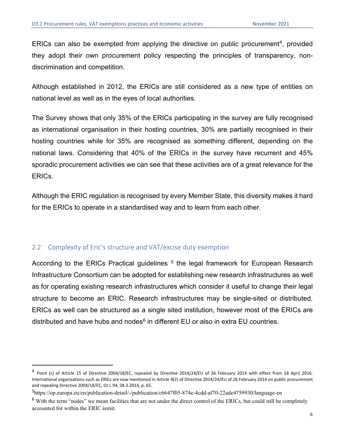ERICs can also be exempted from applying the directive on public procurement<sup>4</sup>, provided they adopt their own procurement policy respecting the principles of transparency, nondiscrimination and competition.

Although established in 2012, the ERICs are still considered as a new type of entities on national level as well as in the eyes of local authorities.

The Survey shows that only 35% of the ERICs participating in the survey are fully recognised as international organisation in their hosting countries, 30% are partially recognised in their hosting countries while for 35% are recognised as something different, depending on the national laws. Considering that 40% of the ERICs in the survey have recurrent and 45% sporadic procurement activities we can see that these activities are of a great relevance for the ERICs.

Although the ERIC regulation is recognised by every Member State, this diversity makes it hard for the ERICs to operate in a standardised way and to learn from each other.

#### 2.2 Complexity of Eric's structure and VAT/excise duty exemption

According to the ERICs Practical guidelines <sup>[5](#page-7-1)</sup> the legal framework for European Research Infrastructure Consortium can be adopted for establishing new research infrastructures as well as for operating existing research infrastructures which consider it useful to change their legal structure to become an ERIC. Research infrastructures may be single-sited or distributed. ERICs as well can be structured as a single sited institution, however most of the ERICs are distributed and have hubs and nodes $6$  in different EU or also in extra EU countries.

<span id="page-7-0"></span><sup>&</sup>lt;sup>4</sup> Point (c) of Article 15 of Directive 2004/18/EC, repealed by Directive 2014/24/EU of 26 February 2014 with effect from 18 April 2016. International organisations such as ERICs are now mentioned in Article 9(2) of Directive 2014/24/EU of 26 February 2014 on public procurement and repealing Directive 2004/18/EC, OJ L 94, 28.3.2014, p. 65.

<span id="page-7-1"></span><sup>5</sup>https://op.europa.eu/en/publication-detail/-/publication/c6647f05-874e-4cdd-af70-22ade4759930/language-en

<span id="page-7-2"></span> $6$  With the term "nodes" we mean facilities that are not under the direct control of the ERICs, but could still be completely accounted for within the ERIC remit.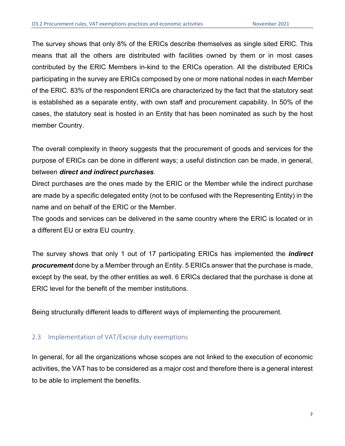The survey shows that only 8% of the ERICs describe themselves as single sited ERIC. This means that all the others are distributed with facilities owned by them or in most cases contributed by the ERIC Members in-kind to the ERICs operation. All the distributed ERICs participating in the survey are ERICs composed by one or more national nodes in each Member of the ERIC. 83% of the respondent ERICs are characterized by the fact that the statutory seat is established as a separate entity, with own staff and procurement capability. In 50% of the cases, the statutory seat is hosted in an Entity that has been nominated as such by the host member Country.

The overall complexity in theory suggests that the procurement of goods and services for the purpose of ERICs can be done in different ways; a useful distinction can be made, in general, between *direct and indirect purchases*.

Direct purchases are the ones made by the ERIC or the Member while the indirect purchase are made by a specific delegated entity (not to be confused with the Representing Entity) in the name and on behalf of the ERIC or the Member.

The goods and services can be delivered in the same country where the ERIC is located or in a different EU or extra EU country.

The survey shows that only 1 out of 17 participating ERICs has implemented the *indirect procurement* done by a Member through an Entity. 5 ERICs answer that the purchase is made, except by the seat, by the other entities as well. 6 ERICs declared that the purchase is done at ERIC level for the benefit of the member institutions.

Being structurally different leads to different ways of implementing the procurement.

#### 2.3 Implementation of VAT/Excise duty exemptions

In general, for all the organizations whose scopes are not linked to the execution of economic activities, the VAT has to be considered as a major cost and therefore there is a general interest to be able to implement the benefits.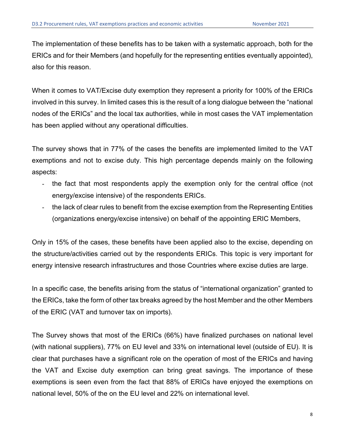The implementation of these benefits has to be taken with a systematic approach, both for the ERICs and for their Members (and hopefully for the representing entities eventually appointed), also for this reason.

When it comes to VAT/Excise duty exemption they represent a priority for 100% of the ERICs involved in this survey. In limited cases this is the result of a long dialogue between the "national nodes of the ERICs" and the local tax authorities, while in most cases the VAT implementation has been applied without any operational difficulties.

The survey shows that in 77% of the cases the benefits are implemented limited to the VAT exemptions and not to excise duty. This high percentage depends mainly on the following aspects:

- the fact that most respondents apply the exemption only for the central office (not energy/excise intensive) of the respondents ERICs.
- the lack of clear rules to benefit from the excise exemption from the Representing Entities (organizations energy/excise intensive) on behalf of the appointing ERIC Members,

Only in 15% of the cases, these benefits have been applied also to the excise, depending on the structure/activities carried out by the respondents ERICs. This topic is very important for energy intensive research infrastructures and those Countries where excise duties are large.

In a specific case, the benefits arising from the status of "international organization" granted to the ERICs, take the form of other tax breaks agreed by the host Member and the other Members of the ERIC (VAT and turnover tax on imports).

The Survey shows that most of the ERICs (66%) have finalized purchases on national level (with national suppliers), 77% on EU level and 33% on international level (outside of EU). It is clear that purchases have a significant role on the operation of most of the ERICs and having the VAT and Excise duty exemption can bring great savings. The importance of these exemptions is seen even from the fact that 88% of ERICs have enjoyed the exemptions on national level, 50% of the on the EU level and 22% on international level.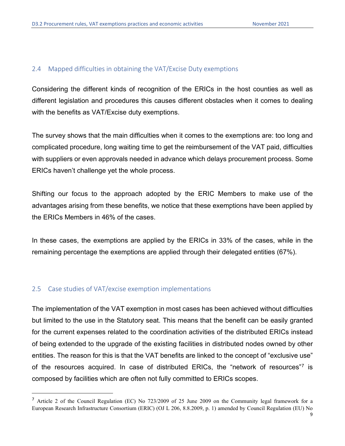#### 2.4 Mapped difficulties in obtaining the VAT/Excise Duty exemptions

Considering the different kinds of recognition of the ERICs in the host counties as well as different legislation and procedures this causes different obstacles when it comes to dealing with the benefits as VAT/Excise duty exemptions.

The survey shows that the main difficulties when it comes to the exemptions are: too long and complicated procedure, long waiting time to get the reimbursement of the VAT paid, difficulties with suppliers or even approvals needed in advance which delays procurement process. Some ERICs haven't challenge yet the whole process.

Shifting our focus to the approach adopted by the ERIC Members to make use of the advantages arising from these benefits, we notice that these exemptions have been applied by the ERICs Members in 46% of the cases.

In these cases, the exemptions are applied by the ERICs in 33% of the cases, while in the remaining percentage the exemptions are applied through their delegated entities (67%).

#### 2.5 Case studies of VAT/excise exemption implementations

The implementation of the VAT exemption in most cases has been achieved without difficulties but limited to the use in the Statutory seat. This means that the benefit can be easily granted for the current expenses related to the coordination activities of the distributed ERICs instead of being extended to the upgrade of the existing facilities in distributed nodes owned by other entities. The reason for this is that the VAT benefits are linked to the concept of "exclusive use" of the resources acquired. In case of distributed ERICs, the "network of resources"[7](#page-10-0) is composed by facilities which are often not fully committed to ERICs scopes.

<span id="page-10-0"></span><sup>7</sup> Article 2 of the Council Regulation (EC) No 723/2009 of 25 June 2009 on the Community legal framework for a European Research Infrastructure Consortium (ERIC) (OJ L 206, 8.8.2009, p. 1) amended by Council Regulation (EU) No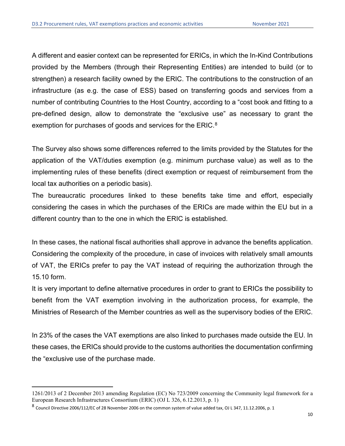A different and easier context can be represented for ERICs, in which the In-Kind Contributions provided by the Members (through their Representing Entities) are intended to build (or to strengthen) a research facility owned by the ERIC. The contributions to the construction of an infrastructure (as e.g. the case of ESS) based on transferring goods and services from a number of contributing Countries to the Host Country, according to a "cost book and fitting to a pre-defined design, allow to demonstrate the "exclusive use" as necessary to grant the exemption for purchases of goods and services for the ERIC.<sup>[8](#page-11-0)</sup>

The Survey also shows some differences referred to the limits provided by the Statutes for the application of the VAT/duties exemption (e.g. minimum purchase value) as well as to the implementing rules of these benefits (direct exemption or request of reimbursement from the local tax authorities on a periodic basis).

The bureaucratic procedures linked to these benefits take time and effort, especially considering the cases in which the purchases of the ERICs are made within the EU but in a different country than to the one in which the ERIC is established.

In these cases, the national fiscal authorities shall approve in advance the benefits application. Considering the complexity of the procedure, in case of invoices with relatively small amounts of VAT, the ERICs prefer to pay the VAT instead of requiring the authorization through the 15.10 form.

It is very important to define alternative procedures in order to grant to ERICs the possibility to benefit from the VAT exemption involving in the authorization process, for example, the Ministries of Research of the Member countries as well as the supervisory bodies of the ERIC.

In 23% of the cases the VAT exemptions are also linked to purchases made outside the EU. In these cases, the ERICs should provide to the customs authorities the documentation confirming the "exclusive use of the purchase made.

<sup>1261/2013</sup> of 2 December 2013 amending Regulation (EC) No 723/2009 concerning the Community legal framework for a European Research Infrastructures Consortium (ERIC) (OJ L 326, 6.12.2013, p. 1)

<span id="page-11-0"></span><sup>8</sup> Council Directive 2006/112/EC of 28 November 2006 on the common system of value added tax, OJ L 347, 11.12.2006, p. 1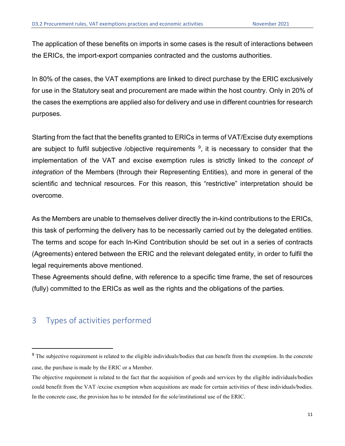The application of these benefits on imports in some cases is the result of interactions between the ERICs, the import-export companies contracted and the customs authorities.

In 80% of the cases, the VAT exemptions are linked to direct purchase by the ERIC exclusively for use in the Statutory seat and procurement are made within the host country. Only in 20% of the cases the exemptions are applied also for delivery and use in different countries for research purposes.

Starting from the fact that the benefits granted to ERICs in terms of VAT/Excise duty exemptions are subject to fulfil subjective /objective requirements  $9$ , it is necessary to consider that the implementation of the VAT and excise exemption rules is strictly linked to the *concept of integration* of the Members (through their Representing Entities), and more in general of the scientific and technical resources. For this reason, this "restrictive" interpretation should be overcome.

As the Members are unable to themselves deliver directly the in-kind contributions to the ERICs, this task of performing the delivery has to be necessarily carried out by the delegated entities. The terms and scope for each In-Kind Contribution should be set out in a series of contracts (Agreements) entered between the ERIC and the relevant delegated entity, in order to fulfil the legal requirements above mentioned.

These Agreements should define, with reference to a specific time frame, the set of resources (fully) committed to the ERICs as well as the rights and the obligations of the parties.

## 3 Types of activities performed

<span id="page-12-0"></span><sup>&</sup>lt;sup>9</sup> The subjective requirement is related to the eligible individuals/bodies that can benefit from the exemption. In the concrete case, the purchase is made by the ERIC or a Member.

The objective requirement is related to the fact that the acquisition of goods and services by the eligible individuals/bodies could benefit from the VAT /excise exemption when acquisitions are made for certain activities of these individuals/bodies. In the concrete case, the provision has to be intended for the sole/institutional use of the ERIC.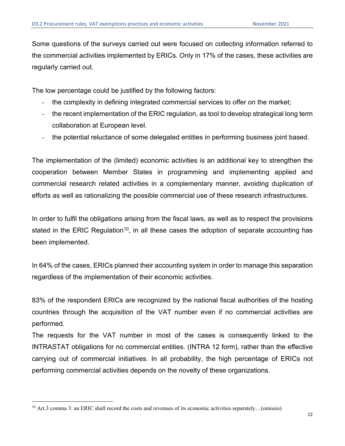Some questions of the surveys carried out were focused on collecting information referred to the commercial activities implemented by ERICs. Only in 17% of the cases, these activities are regularly carried out.

The low percentage could be justified by the following factors:

- the complexity in defining integrated commercial services to offer on the market;
- the recent implementation of the ERIC regulation, as tool to develop strategical long term collaboration at European level.
- the potential reluctance of some delegated entities in performing business joint based.

The implementation of the (limited) economic activities is an additional key to strengthen the cooperation between Member States in programming and implementing applied and commercial research related activities in a complementary manner, avoiding duplication of efforts as well as rationalizing the possible commercial use of these research infrastructures.

In order to fulfil the obligations arising from the fiscal laws, as well as to respect the provisions stated in the ERIC Regulation<sup>10</sup>, in all these cases the adoption of separate accounting has been implemented.

In 64% of the cases, ERICs planned their accounting system in order to manage this separation regardless of the implementation of their economic activities.

83% of the respondent ERICs are recognized by the national fiscal authorities of the hosting countries through the acquisition of the VAT number even if no commercial activities are performed.

The requests for the VAT number in most of the cases is consequently linked to the INTRASTAT obligations for no commercial entities. (INTRA 12 form), rather than the effective carrying out of commercial initiatives. In all probability, the high percentage of ERICs not performing commercial activities depends on the novelty of these organizations.

<span id="page-13-0"></span><sup>10</sup> Art.3 comma 3: an ERIC shall record the costs and revenues of its economic activities separately…(omissis)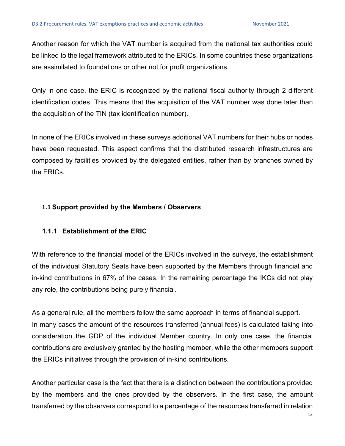Another reason for which the VAT number is acquired from the national tax authorities could be linked to the legal framework attributed to the ERICs. In some countries these organizations are assimilated to foundations or other not for profit organizations.

Only in one case, the ERIC is recognized by the national fiscal authority through 2 different identification codes. This means that the acquisition of the VAT number was done later than the acquisition of the TIN (tax identification number).

In none of the ERICs involved in these surveys additional VAT numbers for their hubs or nodes have been requested. This aspect confirms that the distributed research infrastructures are composed by facilities provided by the delegated entities, rather than by branches owned by the ERICs.

#### **1.1 Support provided by the Members / Observers**

#### **1.1.1 Establishment of the ERIC**

With reference to the financial model of the ERICs involved in the surveys, the establishment of the individual Statutory Seats have been supported by the Members through financial and in-kind contributions in 67% of the cases. In the remaining percentage the IKCs did not play any role, the contributions being purely financial.

As a general rule, all the members follow the same approach in terms of financial support. In many cases the amount of the resources transferred (annual fees) is calculated taking into consideration the GDP of the individual Member country. In only one case, the financial contributions are exclusively granted by the hosting member, while the other members support the ERICs initiatives through the provision of in-kind contributions.

Another particular case is the fact that there is a distinction between the contributions provided by the members and the ones provided by the observers. In the first case, the amount transferred by the observers correspond to a percentage of the resources transferred in relation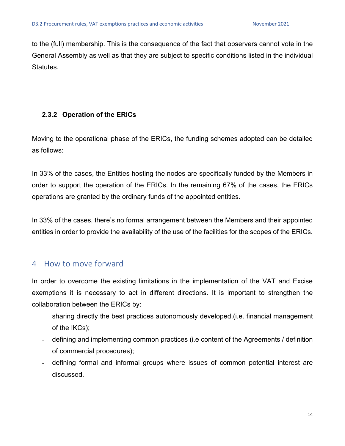to the (full) membership. This is the consequence of the fact that observers cannot vote in the General Assembly as well as that they are subject to specific conditions listed in the individual Statutes.

#### **2.3.2 Operation of the ERICs**

Moving to the operational phase of the ERICs, the funding schemes adopted can be detailed as follows:

In 33% of the cases, the Entities hosting the nodes are specifically funded by the Members in order to support the operation of the ERICs. In the remaining 67% of the cases, the ERICs operations are granted by the ordinary funds of the appointed entities.

In 33% of the cases, there's no formal arrangement between the Members and their appointed entities in order to provide the availability of the use of the facilities for the scopes of the ERICs.

#### 4 How to move forward

In order to overcome the existing limitations in the implementation of the VAT and Excise exemptions it is necessary to act in different directions. It is important to strengthen the collaboration between the ERICs by:

- sharing directly the best practices autonomously developed.(i.e. financial management of the IKCs);
- defining and implementing common practices (i.e content of the Agreements / definition of commercial procedures);
- defining formal and informal groups where issues of common potential interest are discussed.